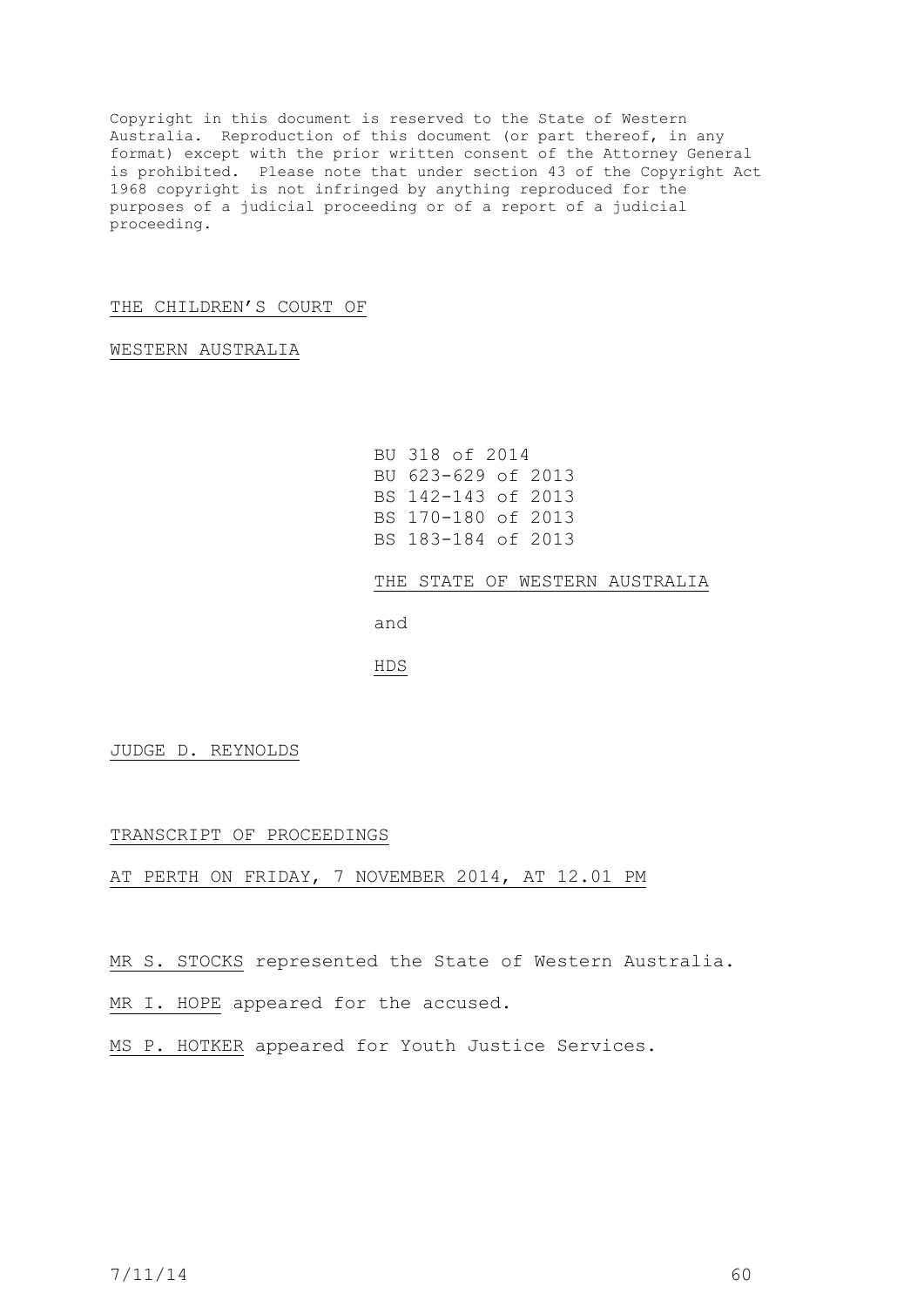Copyright in this document is reserved to the State of Western Australia. Reproduction of this document (or part thereof, in any format) except with the prior written consent of the Attorney General is prohibited. Please note that under section 43 of the Copyright Act 1968 copyright is not infringed by anything reproduced for the purposes of a judicial proceeding or of a report of a judicial proceeding.

## THE CHILDREN'S COURT OF

WESTERN AUSTRALIA

```
BU 318 of 2014
BU 623-629 of 2013
BS 142-143 of 2013
BS 170-180 of 2013
BS 183-184 of 2013
```
THE STATE OF WESTERN AUSTRALIA

and

HDS

JUDGE D. REYNOLDS

TRANSCRIPT OF PROCEEDINGS

AT PERTH ON FRIDAY, 7 NOVEMBER 2014, AT 12.01 PM

MR S. STOCKS represented the State of Western Australia.

MR I. HOPE appeared for the accused.

MS P. HOTKER appeared for Youth Justice Services.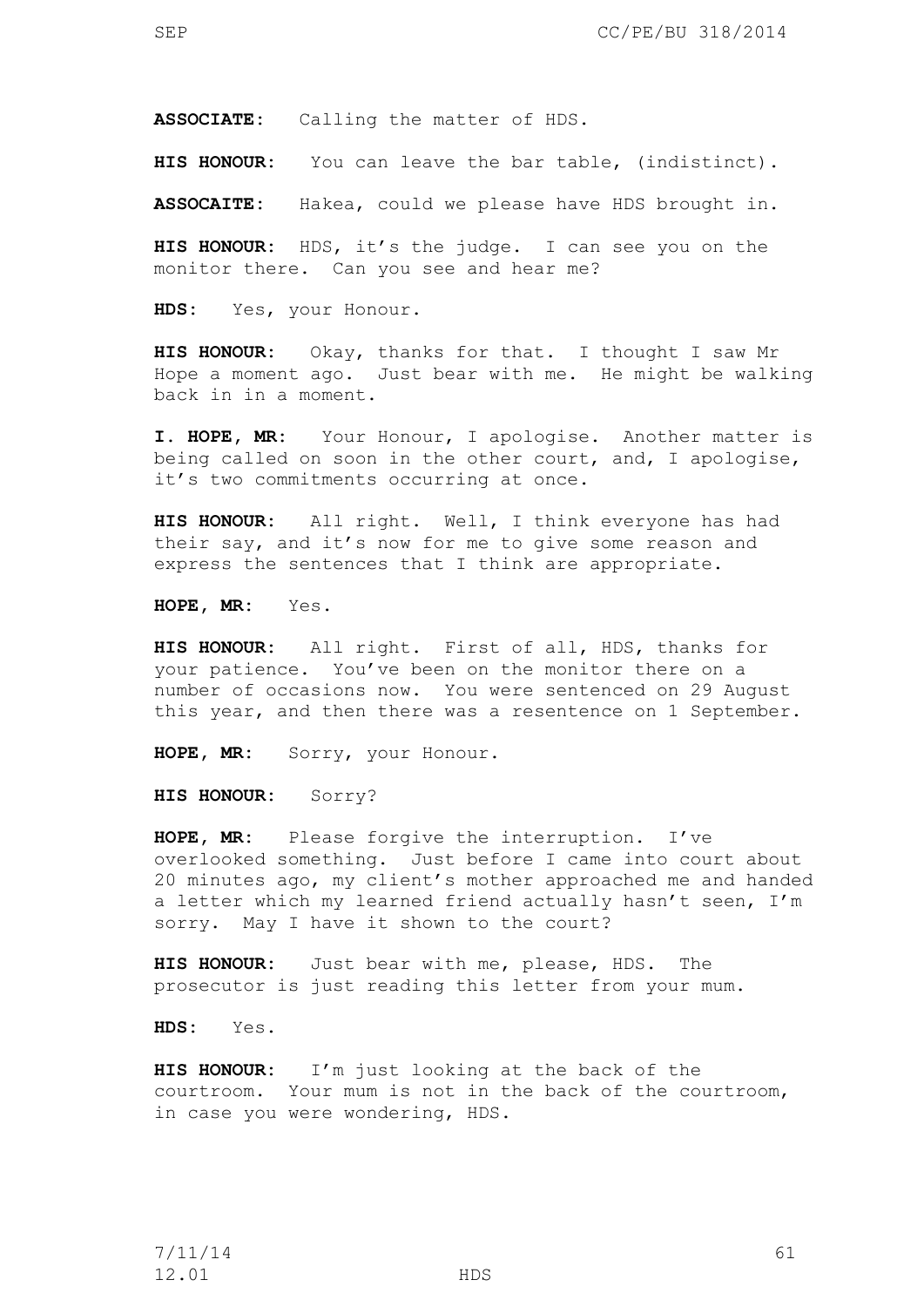**ASSOCIATE:** Calling the matter of HDS.

**HIS HONOUR:** You can leave the bar table, (indistinct).

**ASSOCAITE:** Hakea, could we please have HDS brought in.

**HIS HONOUR:** HDS, it's the judge. I can see you on the monitor there. Can you see and hear me?

**HDS:** Yes, your Honour.

**HIS HONOUR:** Okay, thanks for that. I thought I saw Mr Hope a moment ago. Just bear with me. He might be walking back in in a moment.

**I. HOPE, MR:** Your Honour, I apologise. Another matter is being called on soon in the other court, and, I apologise, it's two commitments occurring at once.

**HIS HONOUR:** All right. Well, I think everyone has had their say, and it's now for me to give some reason and express the sentences that I think are appropriate.

**HOPE, MR:** Yes.

**HIS HONOUR:** All right. First of all, HDS, thanks for your patience. You've been on the monitor there on a number of occasions now. You were sentenced on 29 August this year, and then there was a resentence on 1 September.

**HOPE, MR:** Sorry, your Honour.

**HIS HONOUR:** Sorry?

**HOPE, MR:** Please forgive the interruption. I've overlooked something. Just before I came into court about 20 minutes ago, my client's mother approached me and handed a letter which my learned friend actually hasn't seen, I'm sorry. May I have it shown to the court?

**HIS HONOUR:** Just bear with me, please, HDS. The prosecutor is just reading this letter from your mum.

**HDS:** Yes.

**HIS HONOUR:** I'm just looking at the back of the courtroom. Your mum is not in the back of the courtroom, in case you were wondering, HDS.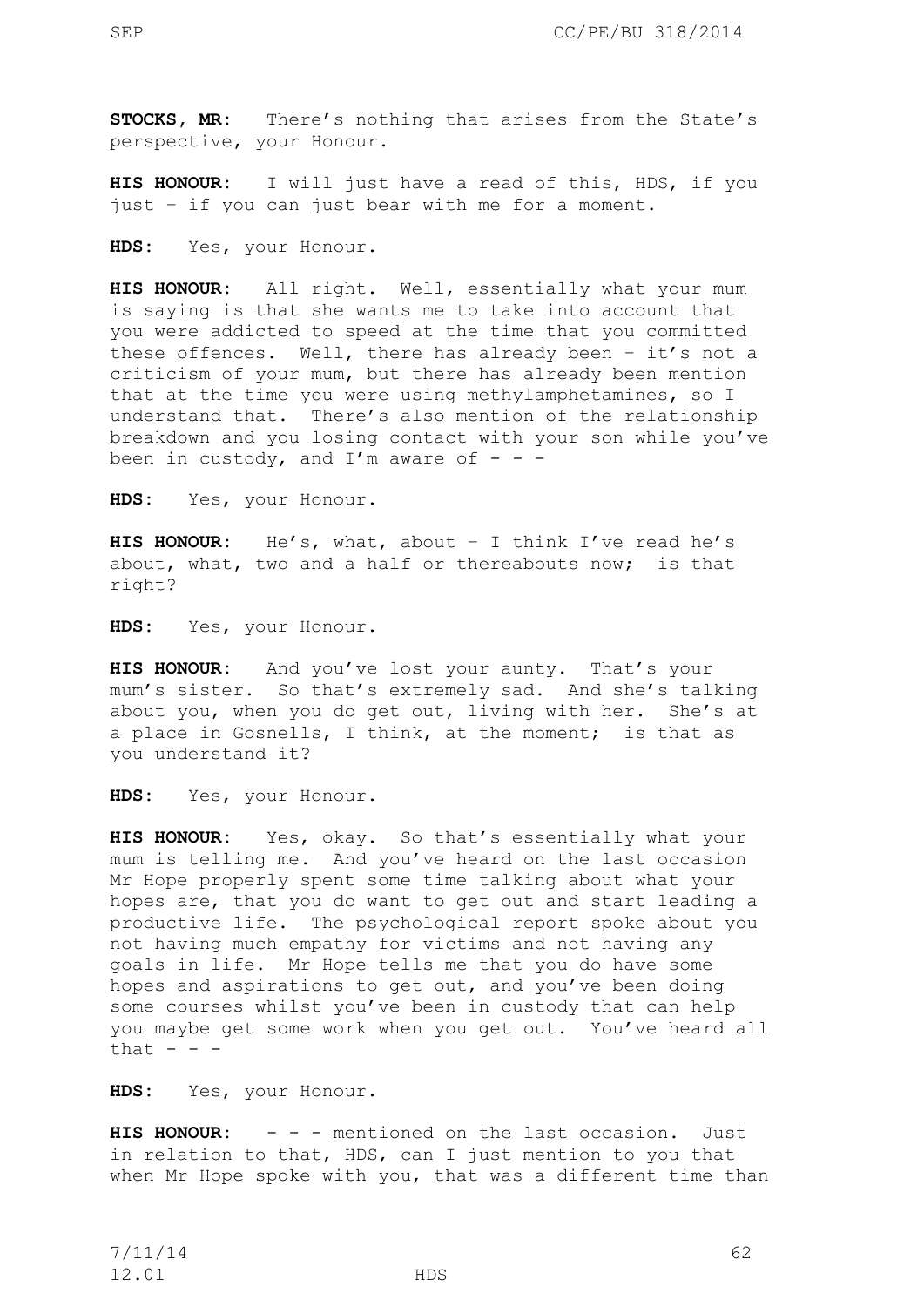**STOCKS, MR:** There's nothing that arises from the State's perspective, your Honour.

**HIS HONOUR:** I will just have a read of this, HDS, if you just – if you can just bear with me for a moment.

**HDS:** Yes, your Honour.

**HIS HONOUR:** All right. Well, essentially what your mum is saying is that she wants me to take into account that you were addicted to speed at the time that you committed these offences. Well, there has already been – it's not a criticism of your mum, but there has already been mention that at the time you were using methylamphetamines, so I understand that. There's also mention of the relationship breakdown and you losing contact with your son while you've been in custody, and I'm aware of  $-$  -

**HDS:** Yes, your Honour.

**HIS HONOUR:** He's, what, about – I think I've read he's about, what, two and a half or thereabouts now; is that right?

**HDS:** Yes, your Honour.

**HIS HONOUR:** And you've lost your aunty. That's your mum's sister. So that's extremely sad. And she's talking about you, when you do get out, living with her. She's at a place in Gosnells, I think, at the moment; is that as you understand it?

**HDS:** Yes, your Honour.

**HIS HONOUR:** Yes, okay. So that's essentially what your mum is telling me. And you've heard on the last occasion Mr Hope properly spent some time talking about what your hopes are, that you do want to get out and start leading a productive life. The psychological report spoke about you not having much empathy for victims and not having any goals in life. Mr Hope tells me that you do have some hopes and aspirations to get out, and you've been doing some courses whilst you've been in custody that can help you maybe get some work when you get out. You've heard all that  $- -$ 

**HDS:** Yes, your Honour.

**HIS HONOUR:** - - - mentioned on the last occasion. Just in relation to that, HDS, can I just mention to you that when Mr Hope spoke with you, that was a different time than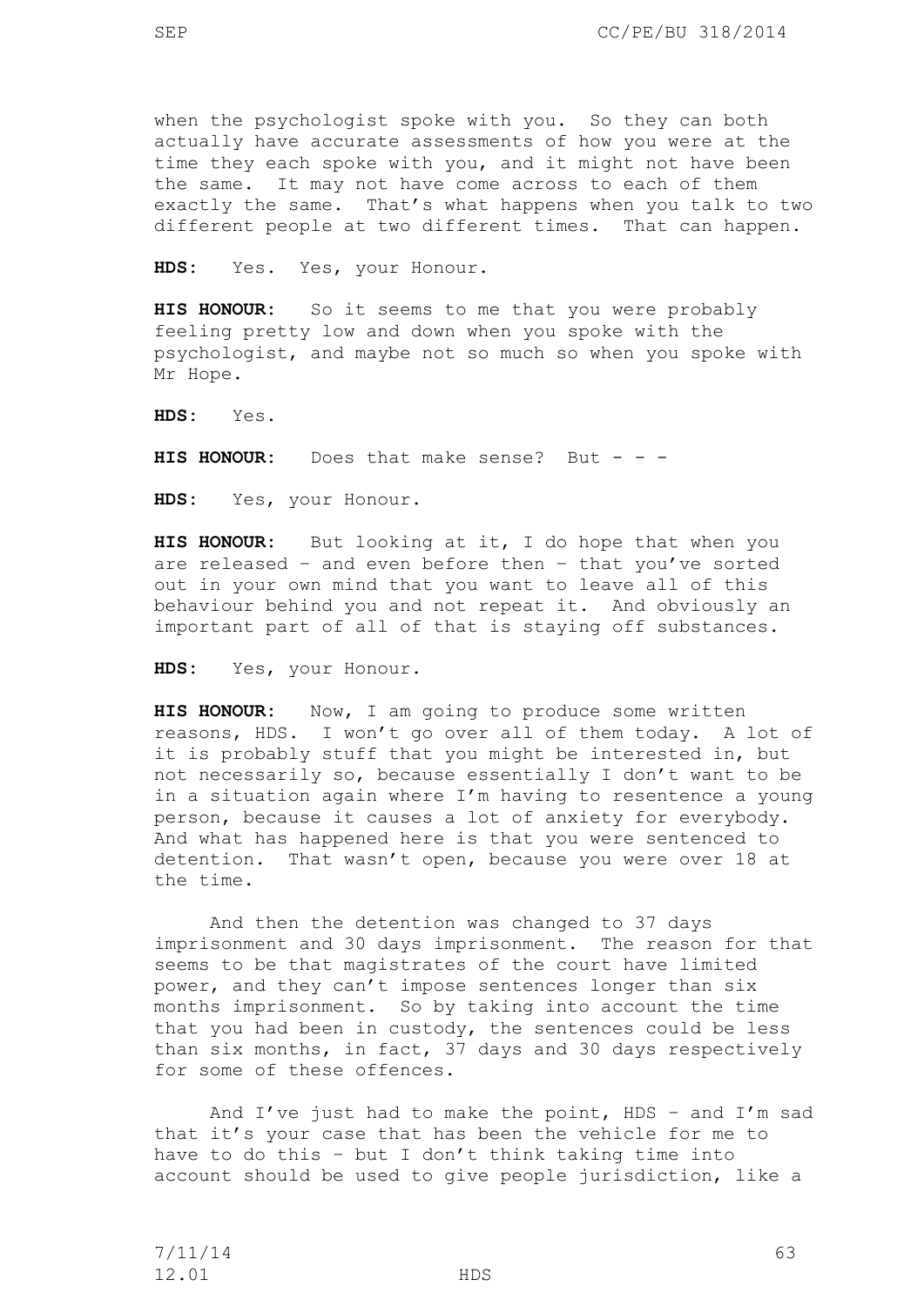when the psychologist spoke with you. So they can both actually have accurate assessments of how you were at the time they each spoke with you, and it might not have been the same. It may not have come across to each of them exactly the same. That's what happens when you talk to two different people at two different times. That can happen.

**HDS:** Yes. Yes, your Honour.

**HIS HONOUR:** So it seems to me that you were probably feeling pretty low and down when you spoke with the psychologist, and maybe not so much so when you spoke with Mr Hope.

**HDS:** Yes.

**HIS HONOUR:** Does that make sense? But - - -

**HDS:** Yes, your Honour.

**HIS HONOUR:** But looking at it, I do hope that when you are released – and even before then – that you've sorted out in your own mind that you want to leave all of this behaviour behind you and not repeat it. And obviously an important part of all of that is staying off substances.

**HDS:** Yes, your Honour.

**HIS HONOUR:** Now, I am going to produce some written reasons, HDS. I won't go over all of them today. A lot of it is probably stuff that you might be interested in, but not necessarily so, because essentially I don't want to be in a situation again where I'm having to resentence a young person, because it causes a lot of anxiety for everybody. And what has happened here is that you were sentenced to detention. That wasn't open, because you were over 18 at the time.

And then the detention was changed to 37 days imprisonment and 30 days imprisonment. The reason for that seems to be that magistrates of the court have limited power, and they can't impose sentences longer than six months imprisonment. So by taking into account the time that you had been in custody, the sentences could be less than six months, in fact, 37 days and 30 days respectively for some of these offences.

And I've just had to make the point, HDS - and I'm sad that it's your case that has been the vehicle for me to have to do this – but I don't think taking time into account should be used to give people jurisdiction, like a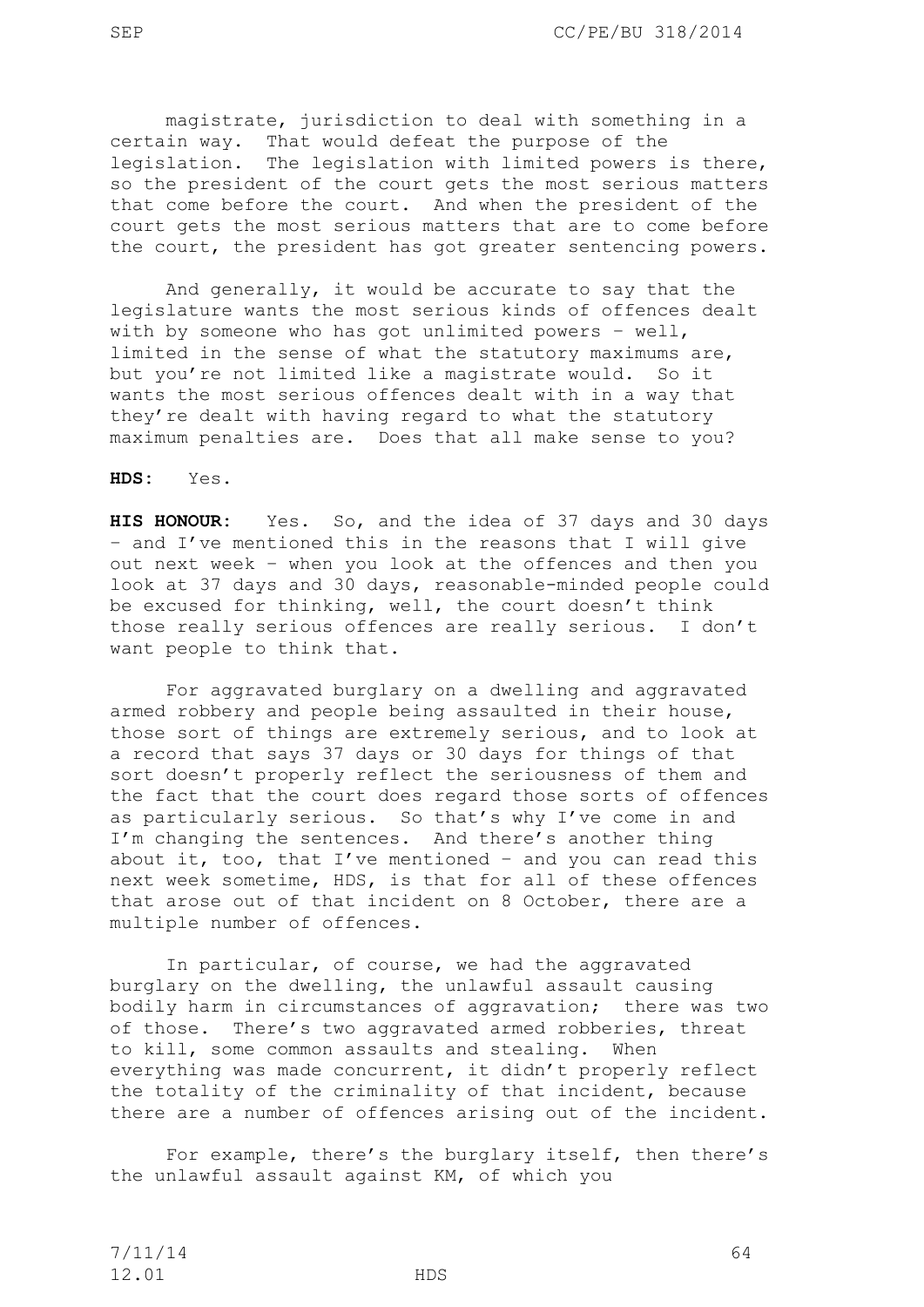magistrate, jurisdiction to deal with something in a certain way. That would defeat the purpose of the legislation. The legislation with limited powers is there, so the president of the court gets the most serious matters that come before the court. And when the president of the court gets the most serious matters that are to come before the court, the president has got greater sentencing powers.

And generally, it would be accurate to say that the legislature wants the most serious kinds of offences dealt with by someone who has got unlimited powers – well, limited in the sense of what the statutory maximums are, but you're not limited like a magistrate would. So it wants the most serious offences dealt with in a way that they're dealt with having regard to what the statutory maximum penalties are. Does that all make sense to you?

**HDS:** Yes.

**HIS HONOUR:** Yes. So, and the idea of 37 days and 30 days – and I've mentioned this in the reasons that I will give out next week – when you look at the offences and then you look at 37 days and 30 days, reasonable-minded people could be excused for thinking, well, the court doesn't think those really serious offences are really serious. I don't want people to think that.

For aggravated burglary on a dwelling and aggravated armed robbery and people being assaulted in their house, those sort of things are extremely serious, and to look at a record that says 37 days or 30 days for things of that sort doesn't properly reflect the seriousness of them and the fact that the court does regard those sorts of offences as particularly serious. So that's why I've come in and I'm changing the sentences. And there's another thing about it, too, that I've mentioned – and you can read this next week sometime, HDS, is that for all of these offences that arose out of that incident on 8 October, there are a multiple number of offences.

In particular, of course, we had the aggravated burglary on the dwelling, the unlawful assault causing bodily harm in circumstances of aggravation; there was two of those. There's two aggravated armed robberies, threat to kill, some common assaults and stealing. When everything was made concurrent, it didn't properly reflect the totality of the criminality of that incident, because there are a number of offences arising out of the incident.

For example, there's the burglary itself, then there's the unlawful assault against KM, of which you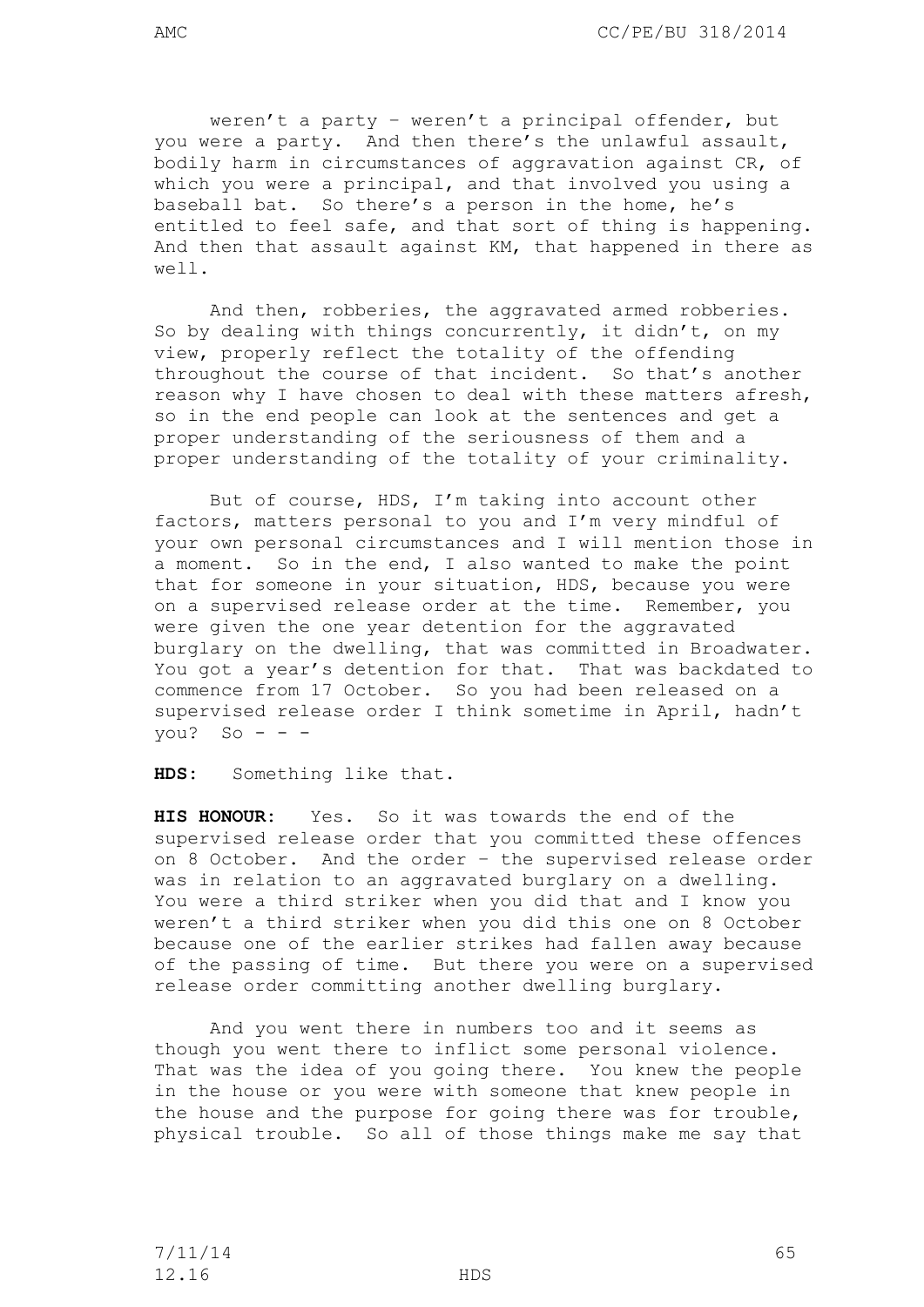weren't a party – weren't a principal offender, but you were a party. And then there's the unlawful assault, bodily harm in circumstances of aggravation against CR, of which you were a principal, and that involved you using a baseball bat. So there's a person in the home, he's entitled to feel safe, and that sort of thing is happening. And then that assault against KM, that happened in there as well.

And then, robberies, the aggravated armed robberies. So by dealing with things concurrently, it didn't, on my view, properly reflect the totality of the offending throughout the course of that incident. So that's another reason why I have chosen to deal with these matters afresh, so in the end people can look at the sentences and get a proper understanding of the seriousness of them and a proper understanding of the totality of your criminality.

But of course, HDS, I'm taking into account other factors, matters personal to you and I'm very mindful of your own personal circumstances and I will mention those in a moment. So in the end, I also wanted to make the point that for someone in your situation, HDS, because you were on a supervised release order at the time. Remember, you were given the one year detention for the aggravated burglary on the dwelling, that was committed in Broadwater. You got a year's detention for that. That was backdated to commence from 17 October. So you had been released on a supervised release order I think sometime in April, hadn't you? So  $-$ 

**HDS:** Something like that.

**HIS HONOUR:** Yes. So it was towards the end of the supervised release order that you committed these offences on 8 October. And the order – the supervised release order was in relation to an aggravated burglary on a dwelling. You were a third striker when you did that and I know you weren't a third striker when you did this one on 8 October because one of the earlier strikes had fallen away because of the passing of time. But there you were on a supervised release order committing another dwelling burglary.

And you went there in numbers too and it seems as though you went there to inflict some personal violence. That was the idea of you going there. You knew the people in the house or you were with someone that knew people in the house and the purpose for going there was for trouble, physical trouble. So all of those things make me say that

7/11/14 65 12.16 HDS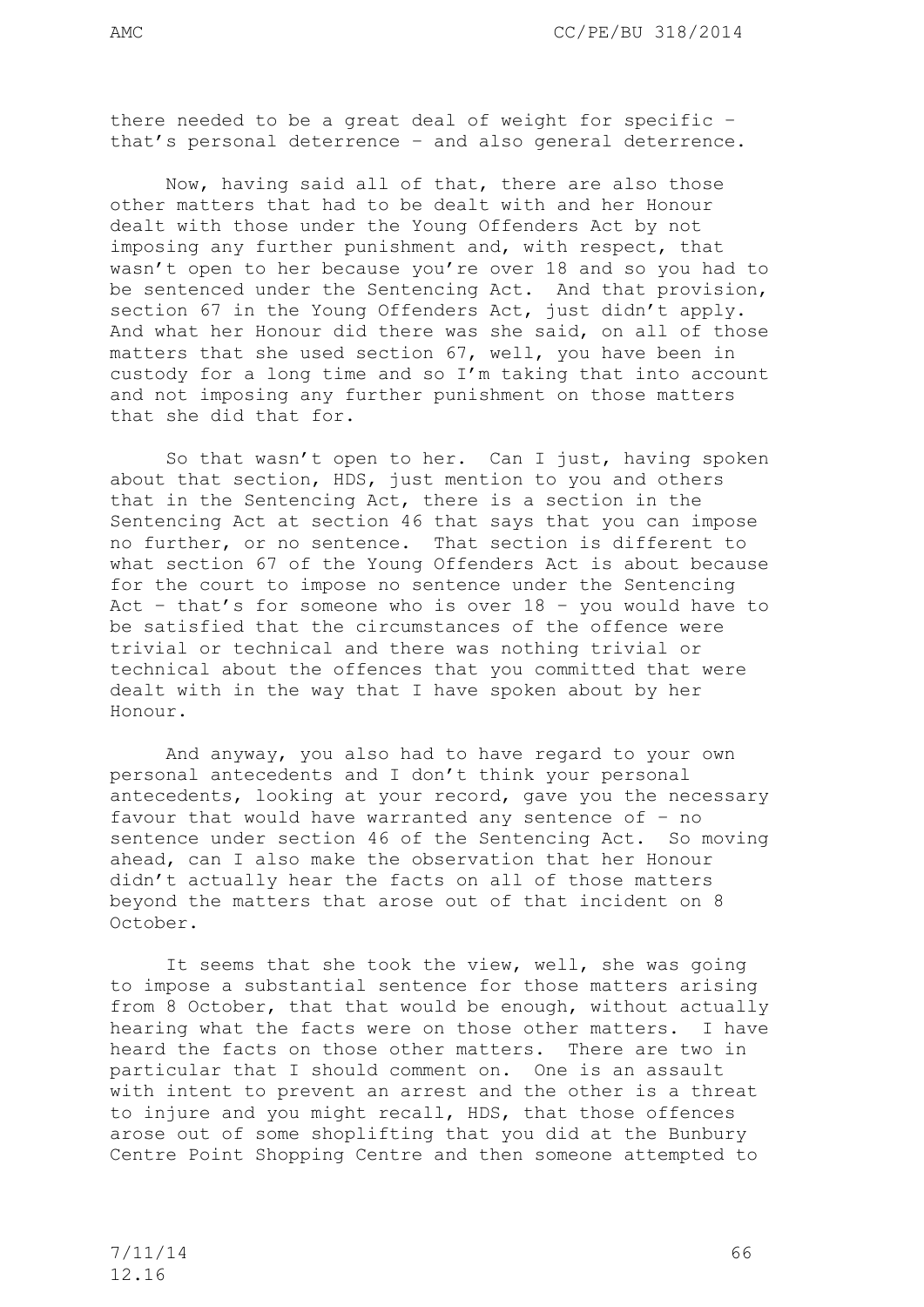there needed to be a great deal of weight for specific – that's personal deterrence – and also general deterrence.

Now, having said all of that, there are also those other matters that had to be dealt with and her Honour dealt with those under the Young Offenders Act by not imposing any further punishment and, with respect, that wasn't open to her because you're over 18 and so you had to be sentenced under the Sentencing Act. And that provision, section 67 in the Young Offenders Act, just didn't apply. And what her Honour did there was she said, on all of those matters that she used section 67, well, you have been in custody for a long time and so I'm taking that into account and not imposing any further punishment on those matters that she did that for.

So that wasn't open to her. Can I just, having spoken about that section, HDS, just mention to you and others that in the Sentencing Act, there is a section in the Sentencing Act at section 46 that says that you can impose no further, or no sentence. That section is different to what section 67 of the Young Offenders Act is about because for the court to impose no sentence under the Sentencing Act – that's for someone who is over 18 – you would have to be satisfied that the circumstances of the offence were trivial or technical and there was nothing trivial or technical about the offences that you committed that were dealt with in the way that I have spoken about by her Honour.

And anyway, you also had to have regard to your own personal antecedents and I don't think your personal antecedents, looking at your record, gave you the necessary favour that would have warranted any sentence of – no sentence under section 46 of the Sentencing Act. So moving ahead, can I also make the observation that her Honour didn't actually hear the facts on all of those matters beyond the matters that arose out of that incident on 8 October.

It seems that she took the view, well, she was going to impose a substantial sentence for those matters arising from 8 October, that that would be enough, without actually hearing what the facts were on those other matters. I have heard the facts on those other matters. There are two in particular that I should comment on. One is an assault with intent to prevent an arrest and the other is a threat to injure and you might recall, HDS, that those offences arose out of some shoplifting that you did at the Bunbury Centre Point Shopping Centre and then someone attempted to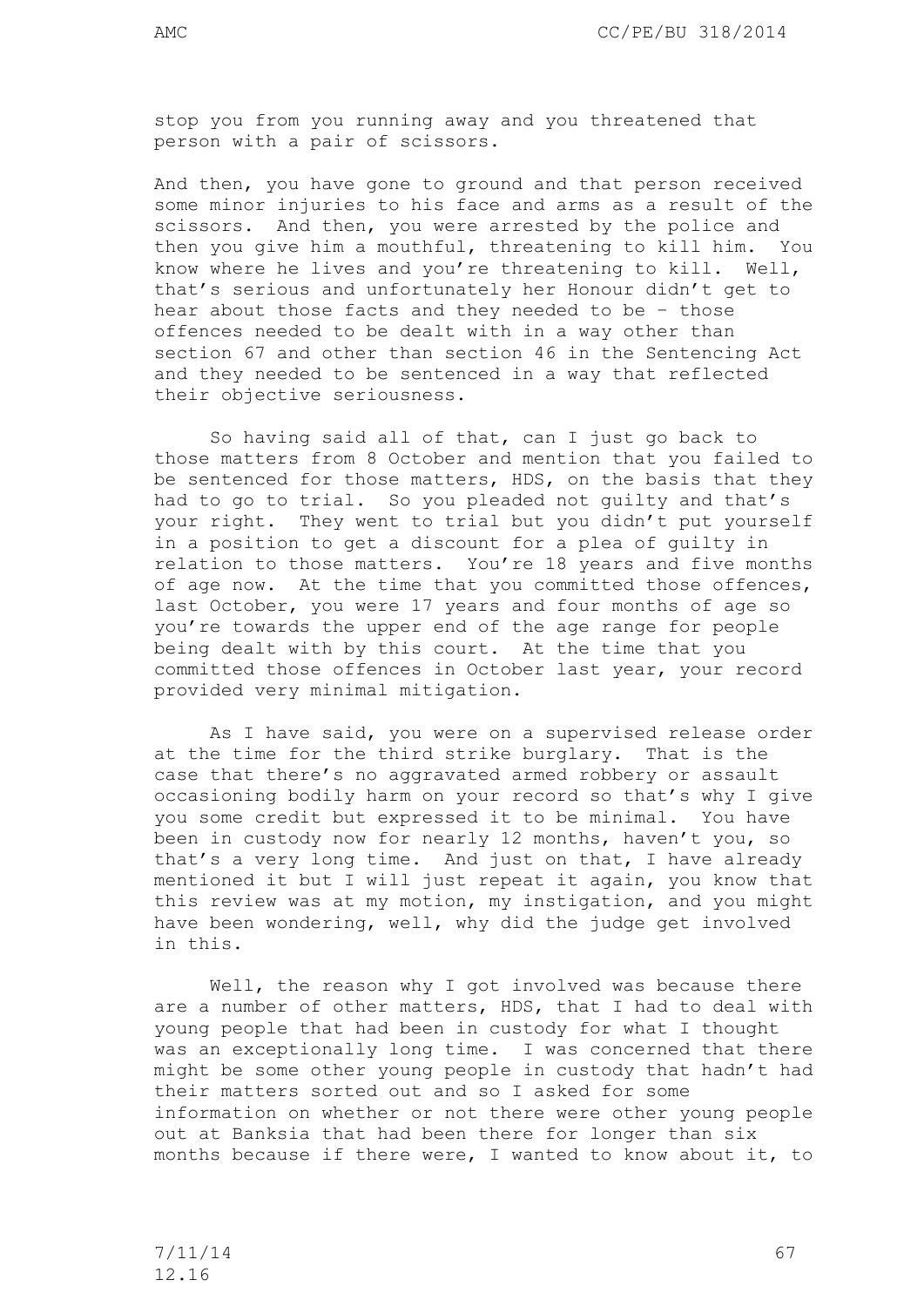stop you from you running away and you threatened that person with a pair of scissors.

And then, you have gone to ground and that person received some minor injuries to his face and arms as a result of the scissors. And then, you were arrested by the police and then you give him a mouthful, threatening to kill him. You know where he lives and you're threatening to kill. Well, that's serious and unfortunately her Honour didn't get to hear about those facts and they needed to be – those offences needed to be dealt with in a way other than section 67 and other than section 46 in the Sentencing Act and they needed to be sentenced in a way that reflected their objective seriousness.

So having said all of that, can I just go back to those matters from 8 October and mention that you failed to be sentenced for those matters, HDS, on the basis that they had to go to trial. So you pleaded not guilty and that's your right. They went to trial but you didn't put yourself in a position to get a discount for a plea of guilty in relation to those matters. You're 18 years and five months of age now. At the time that you committed those offences, last October, you were 17 years and four months of age so you're towards the upper end of the age range for people being dealt with by this court. At the time that you committed those offences in October last year, your record provided very minimal mitigation.

As I have said, you were on a supervised release order at the time for the third strike burglary. That is the case that there's no aggravated armed robbery or assault occasioning bodily harm on your record so that's why I give you some credit but expressed it to be minimal. You have been in custody now for nearly 12 months, haven't you, so that's a very long time. And just on that, I have already mentioned it but I will just repeat it again, you know that this review was at my motion, my instigation, and you might have been wondering, well, why did the judge get involved in this.

Well, the reason why I got involved was because there are a number of other matters, HDS, that I had to deal with young people that had been in custody for what I thought was an exceptionally long time. I was concerned that there might be some other young people in custody that hadn't had their matters sorted out and so I asked for some information on whether or not there were other young people out at Banksia that had been there for longer than six months because if there were, I wanted to know about it, to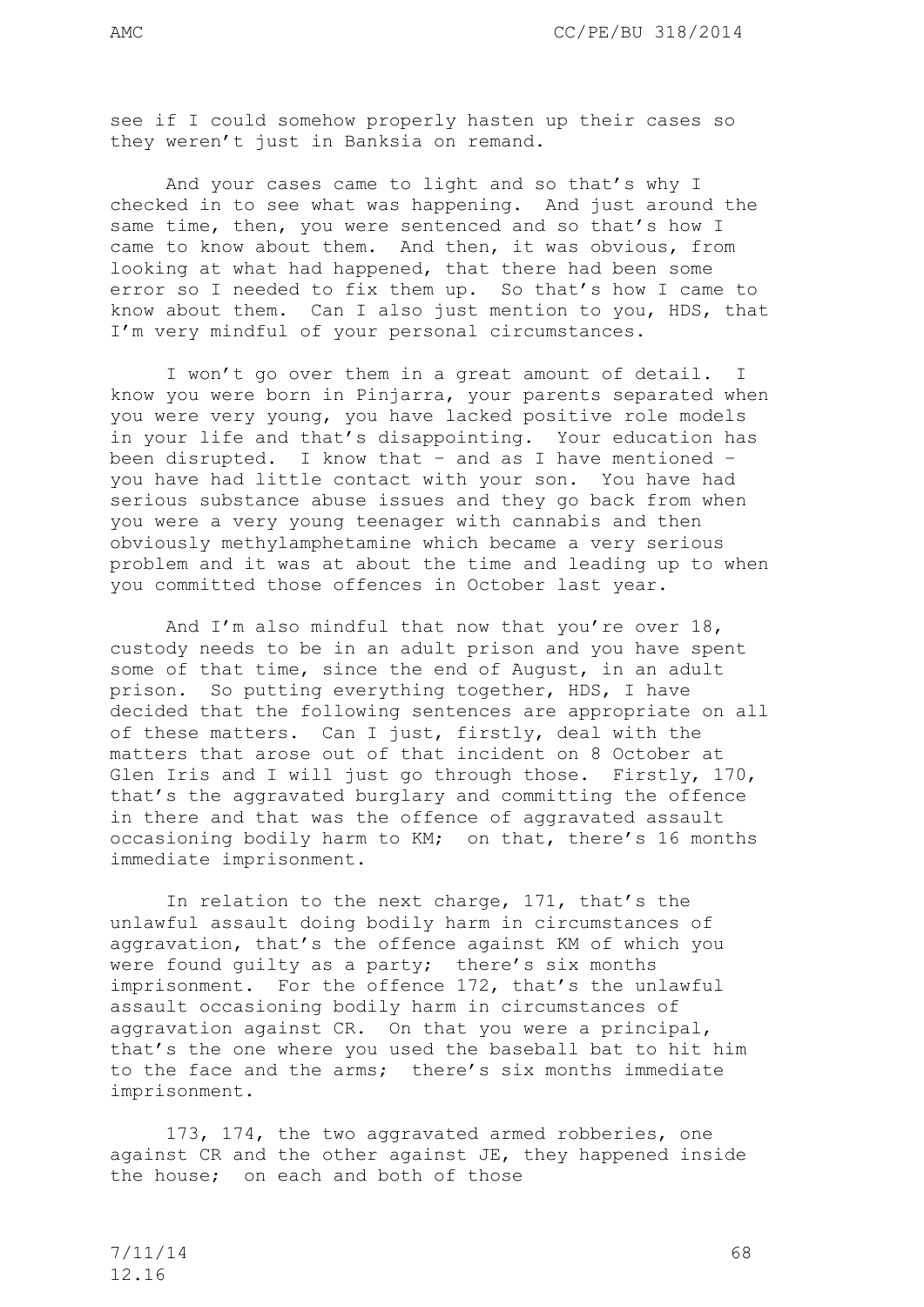see if I could somehow properly hasten up their cases so they weren't just in Banksia on remand.

And your cases came to light and so that's why I checked in to see what was happening. And just around the same time, then, you were sentenced and so that's how I came to know about them. And then, it was obvious, from looking at what had happened, that there had been some error so I needed to fix them up. So that's how I came to know about them. Can I also just mention to you, HDS, that I'm very mindful of your personal circumstances.

I won't go over them in a great amount of detail. I know you were born in Pinjarra, your parents separated when you were very young, you have lacked positive role models in your life and that's disappointing. Your education has been disrupted. I know that – and as I have mentioned – you have had little contact with your son. You have had serious substance abuse issues and they go back from when you were a very young teenager with cannabis and then obviously methylamphetamine which became a very serious problem and it was at about the time and leading up to when you committed those offences in October last year.

And I'm also mindful that now that you're over 18, custody needs to be in an adult prison and you have spent some of that time, since the end of August, in an adult prison. So putting everything together, HDS, I have decided that the following sentences are appropriate on all of these matters. Can I just, firstly, deal with the matters that arose out of that incident on 8 October at Glen Iris and I will just go through those. Firstly, 170, that's the aggravated burglary and committing the offence in there and that was the offence of aggravated assault occasioning bodily harm to KM; on that, there's 16 months immediate imprisonment.

In relation to the next charge, 171, that's the unlawful assault doing bodily harm in circumstances of aggravation, that's the offence against KM of which you were found guilty as a party; there's six months imprisonment. For the offence 172, that's the unlawful assault occasioning bodily harm in circumstances of aggravation against CR. On that you were a principal, that's the one where you used the baseball bat to hit him to the face and the arms; there's six months immediate imprisonment.

173, 174, the two aggravated armed robberies, one against CR and the other against JE, they happened inside the house; on each and both of those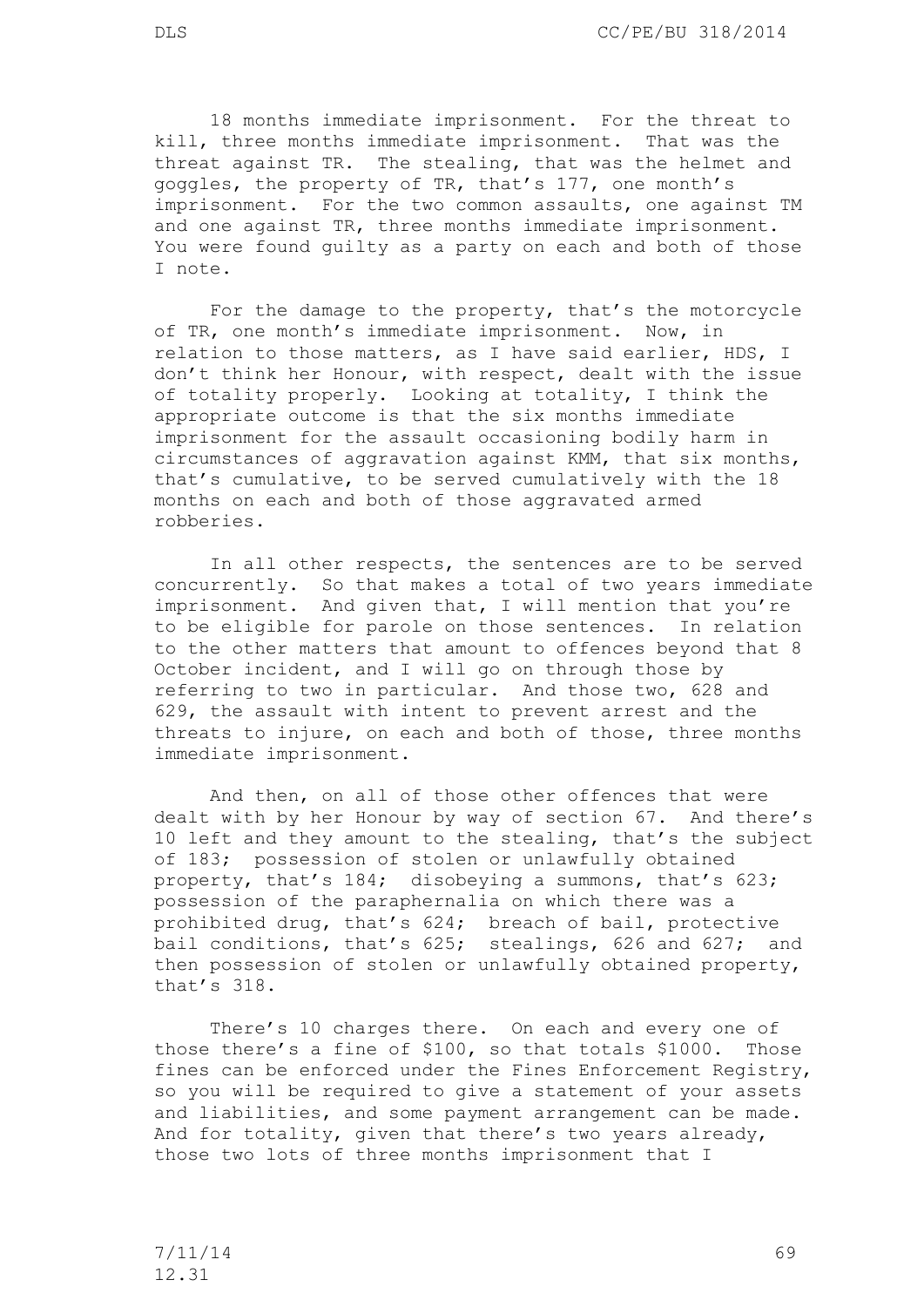18 months immediate imprisonment. For the threat to kill, three months immediate imprisonment. That was the threat against TR. The stealing, that was the helmet and goggles, the property of TR, that's 177, one month's imprisonment. For the two common assaults, one against TM and one against TR, three months immediate imprisonment. You were found guilty as a party on each and both of those I note.

For the damage to the property, that's the motorcycle of TR, one month's immediate imprisonment. Now, in relation to those matters, as I have said earlier, HDS, I don't think her Honour, with respect, dealt with the issue of totality properly. Looking at totality, I think the appropriate outcome is that the six months immediate imprisonment for the assault occasioning bodily harm in circumstances of aggravation against KMM, that six months, that's cumulative, to be served cumulatively with the 18 months on each and both of those aggravated armed robberies.

In all other respects, the sentences are to be served concurrently. So that makes a total of two years immediate imprisonment. And given that, I will mention that you're to be eligible for parole on those sentences. In relation to the other matters that amount to offences beyond that 8 October incident, and I will go on through those by referring to two in particular. And those two, 628 and 629, the assault with intent to prevent arrest and the threats to injure, on each and both of those, three months immediate imprisonment.

And then, on all of those other offences that were dealt with by her Honour by way of section 67. And there's 10 left and they amount to the stealing, that's the subject of 183; possession of stolen or unlawfully obtained property, that's 184; disobeying a summons, that's 623; possession of the paraphernalia on which there was a prohibited drug, that's 624; breach of bail, protective bail conditions, that's 625; stealings, 626 and 627; and then possession of stolen or unlawfully obtained property, that's 318.

There's 10 charges there. On each and every one of those there's a fine of \$100, so that totals \$1000. Those fines can be enforced under the Fines Enforcement Registry, so you will be required to give a statement of your assets and liabilities, and some payment arrangement can be made. And for totality, given that there's two years already, those two lots of three months imprisonment that I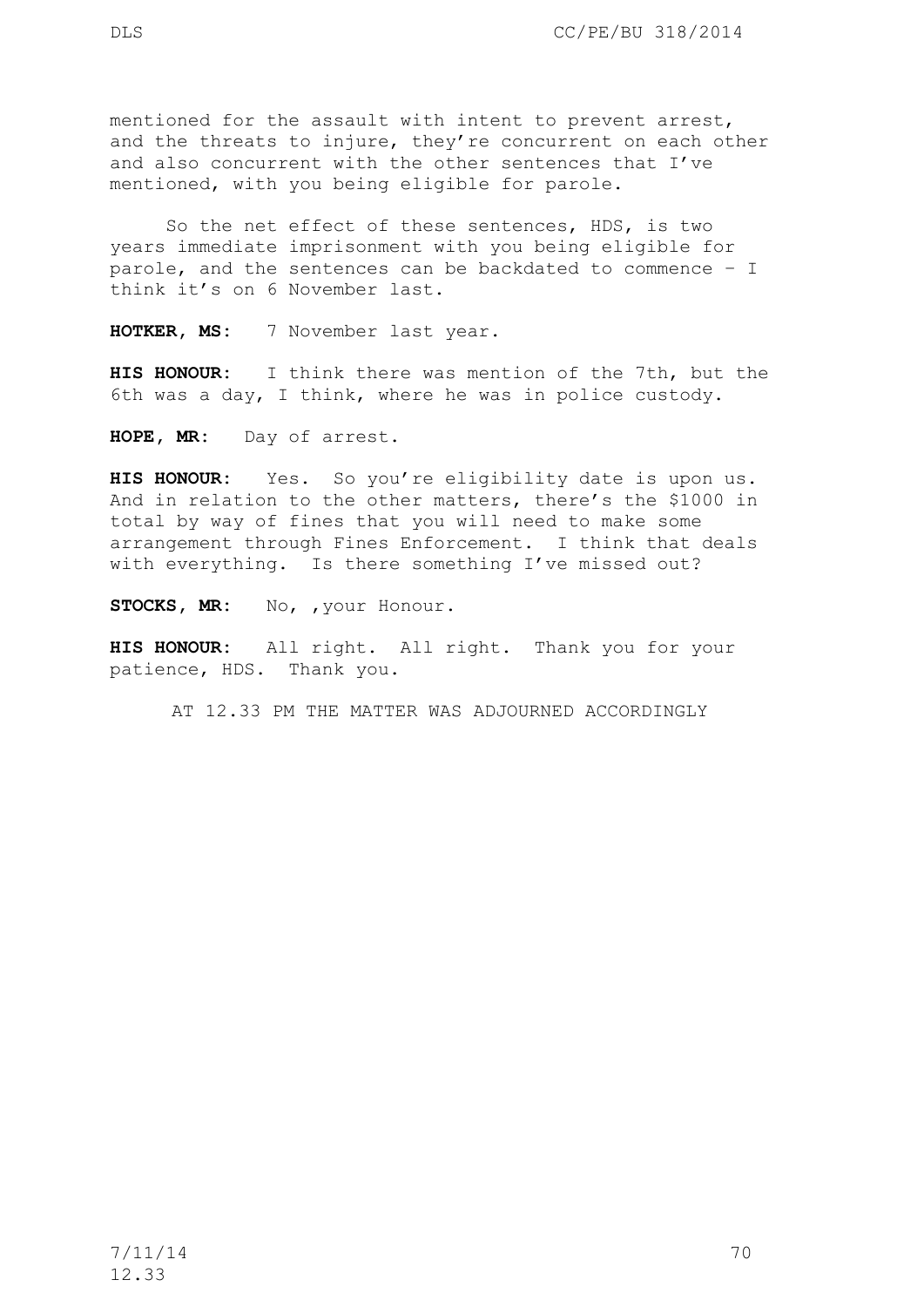mentioned for the assault with intent to prevent arrest, and the threats to injure, they're concurrent on each other and also concurrent with the other sentences that I've mentioned, with you being eligible for parole.

So the net effect of these sentences, HDS, is two years immediate imprisonment with you being eligible for parole, and the sentences can be backdated to commence – I think it's on 6 November last.

**HOTKER, MS:** 7 November last year.

**HIS HONOUR:** I think there was mention of the 7th, but the 6th was a day, I think, where he was in police custody.

**HOPE, MR:** Day of arrest.

**HIS HONOUR:** Yes. So you're eligibility date is upon us. And in relation to the other matters, there's the \$1000 in total by way of fines that you will need to make some arrangement through Fines Enforcement. I think that deals with everything. Is there something I've missed out?

STOCKS, MR: No, , your Honour.

**HIS HONOUR:** All right. All right. Thank you for your patience, HDS. Thank you.

AT 12.33 PM THE MATTER WAS ADJOURNED ACCORDINGLY